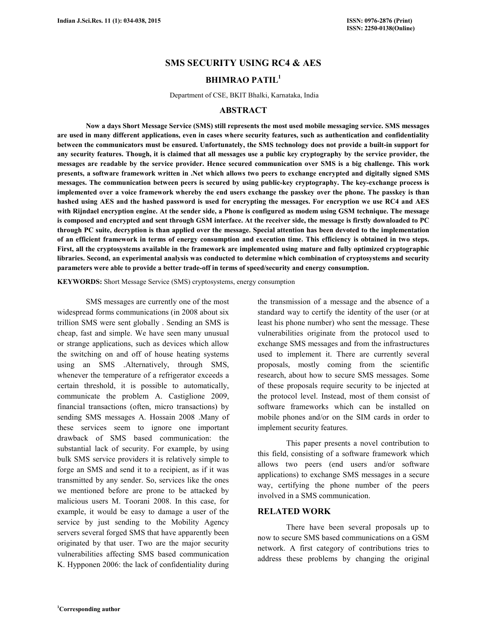### **SMS SECURITY USING RC4 & AES**

# **BHIMRAO PATIL<sup>1</sup>**

Department of CSE, BKIT Bhalki, Karnataka, India

#### **ABSTRACT**

 **Now a days Short Message Service (SMS) still represents the most used mobile messaging service. SMS messages are used in many different applications, even in cases where security features, such as authentication and confidentiality between the communicators must be ensured. Unfortunately, the SMS technology does not provide a built-in support for any security features. Though, it is claimed that all messages use a public key cryptography by the service provider, the messages are readable by the service provider. Hence secured communication over SMS is a big challenge. This work presents, a software framework written in .Net which allows two peers to exchange encrypted and digitally signed SMS messages. The communication between peers is secured by using public-key cryptography. The key-exchange process is implemented over a voice framework whereby the end users exchange the passkey over the phone. The passkey is than hashed using AES and the hashed password is used for encrypting the messages. For encryption we use RC4 and AES with Rijndael encryption engine. At the sender side, a Phone is configured as modem using GSM technique. The message is composed and encrypted and sent through GSM interface. At the receiver side, the message is firstly downloaded to PC through PC suite, decryption is than applied over the message. Special attention has been devoted to the implementation of an efficient framework in terms of energy consumption and execution time. This efficiency is obtained in two steps. First, all the cryptosystems available in the framework are implemented using mature and fully optimized cryptographic libraries. Second, an experimental analysis was conducted to determine which combination of cryptosystems and security parameters were able to provide a better trade-off in terms of speed/security and energy consumption.** 

**KEYWORDS:** Short Message Service (SMS) cryptosystems, energy consumption

 SMS messages are currently one of the most widespread forms communications (in 2008 about six trillion SMS were sent globally . Sending an SMS is cheap, fast and simple. We have seen many unusual or strange applications, such as devices which allow the switching on and off of house heating systems using an SMS .Alternatively, through SMS, whenever the temperature of a refrigerator exceeds a certain threshold, it is possible to automatically, communicate the problem A. Castiglione 2009, financial transactions (often, micro transactions) by sending SMS messages A. Hossain 2008 .Many of these services seem to ignore one important drawback of SMS based communication: the substantial lack of security. For example, by using bulk SMS service providers it is relatively simple to forge an SMS and send it to a recipient, as if it was transmitted by any sender. So, services like the ones we mentioned before are prone to be attacked by malicious users M. Toorani 2008. In this case, for example, it would be easy to damage a user of the service by just sending to the Mobility Agency servers several forged SMS that have apparently been originated by that user. Two are the major security vulnerabilities affecting SMS based communication K. Hypponen 2006: the lack of confidentiality during the transmission of a message and the absence of a standard way to certify the identity of the user (or at least his phone number) who sent the message. These vulnerabilities originate from the protocol used to exchange SMS messages and from the infrastructures used to implement it. There are currently several proposals, mostly coming from the scientific research, about how to secure SMS messages. Some of these proposals require security to be injected at the protocol level. Instead, most of them consist of software frameworks which can be installed on mobile phones and/or on the SIM cards in order to implement security features.

This paper presents a novel contribution to this field, consisting of a software framework which allows two peers (end users and/or software applications) to exchange SMS messages in a secure way, certifying the phone number of the peers involved in a SMS communication.

## **RELATED WORK**

There have been several proposals up to now to secure SMS based communications on a GSM network. A first category of contributions tries to address these problems by changing the original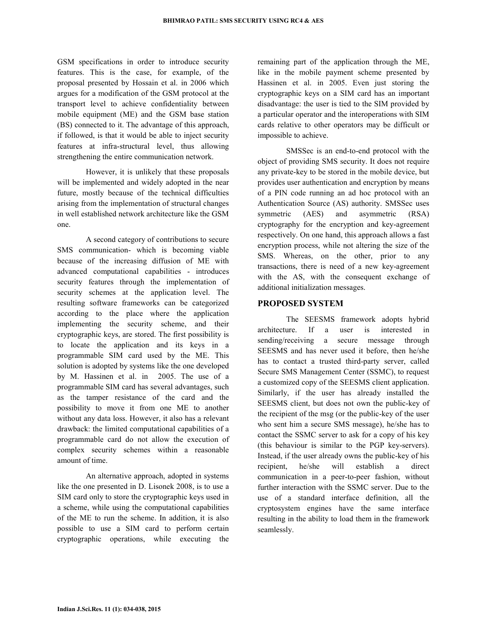GSM specifications in order to introduce security features. This is the case, for example, of the proposal presented by Hossain et al. in 2006 which argues for a modification of the GSM protocol at the transport level to achieve confidentiality between mobile equipment (ME) and the GSM base station (BS) connected to it. The advantage of this approach, if followed, is that it would be able to inject security features at infra-structural level, thus allowing strengthening the entire communication network.

 However, it is unlikely that these proposals will be implemented and widely adopted in the near future, mostly because of the technical difficulties arising from the implementation of structural changes in well established network architecture like the GSM one.

 A second category of contributions to secure SMS communication- which is becoming viable because of the increasing diffusion of ME with advanced computational capabilities - introduces security features through the implementation of security schemes at the application level. The resulting software frameworks can be categorized according to the place where the application implementing the security scheme, and their cryptographic keys, are stored. The first possibility is to locate the application and its keys in a programmable SIM card used by the ME. This solution is adopted by systems like the one developed by M. Hassinen et al. in 2005. The use of a programmable SIM card has several advantages, such as the tamper resistance of the card and the possibility to move it from one ME to another without any data loss. However, it also has a relevant drawback: the limited computational capabilities of a programmable card do not allow the execution of complex security schemes within a reasonable amount of time.

An alternative approach, adopted in systems like the one presented in D. Lisonek 2008, is to use a SIM card only to store the cryptographic keys used in a scheme, while using the computational capabilities of the ME to run the scheme. In addition, it is also possible to use a SIM card to perform certain cryptographic operations, while executing the

remaining part of the application through the ME, like in the mobile payment scheme presented by Hassinen et al. in 2005. Even just storing the cryptographic keys on a SIM card has an important disadvantage: the user is tied to the SIM provided by a particular operator and the interoperations with SIM cards relative to other operators may be difficult or impossible to achieve.

 SMSSec is an end-to-end protocol with the object of providing SMS security. It does not require any private-key to be stored in the mobile device, but provides user authentication and encryption by means of a PIN code running an ad hoc protocol with an Authentication Source (AS) authority. SMSSec uses symmetric (AES) and asymmetric (RSA) cryptography for the encryption and key-agreement respectively. On one hand, this approach allows a fast encryption process, while not altering the size of the SMS. Whereas, on the other, prior to any transactions, there is need of a new key-agreement with the AS, with the consequent exchange of additional initialization messages.

## **PROPOSED SYSTEM**

 The SEESMS framework adopts hybrid architecture. If a user is interested in sending/receiving a secure message through SEESMS and has never used it before, then he/she has to contact a trusted third-party server, called Secure SMS Management Center (SSMC), to request a customized copy of the SEESMS client application. Similarly, if the user has already installed the SEESMS client, but does not own the public-key of the recipient of the msg (or the public-key of the user who sent him a secure SMS message), he/she has to contact the SSMC server to ask for a copy of his key (this behaviour is similar to the PGP key-servers). Instead, if the user already owns the public-key of his recipient, he/she will establish a direct communication in a peer-to-peer fashion, without further interaction with the SSMC server. Due to the use of a standard interface definition, all the cryptosystem engines have the same interface resulting in the ability to load them in the framework seamlessly.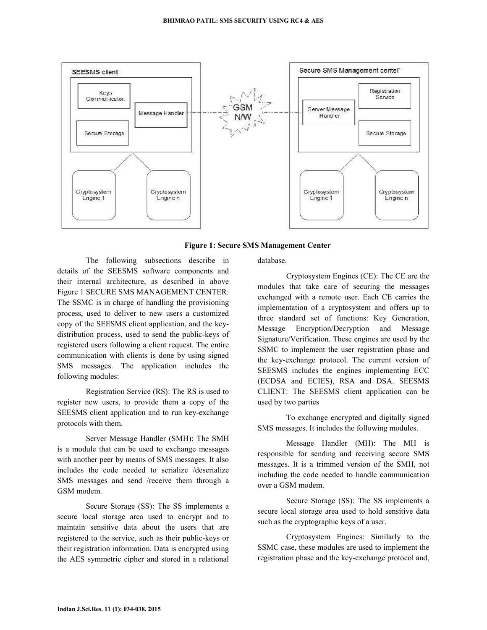

**Figure 1: Secure SMS Management Center**

 The following subsections describe in details of the SEESMS software components and their internal architecture, as described in above Figure 1 SECURE SMS MANAGEMENT CENTER: The SSMC is in charge of handling the provisioning process, used to deliver to new users a customized copy of the SEESMS client application, and the keydistribution process, used to send the public-keys of registered users following a client request. The entire communication with clients is done by using signed SMS messages. The application includes the following modules:

 Registration Service (RS): The RS is used to register new users, to provide them a copy of the SEESMS client application and to run key-exchange protocols with them.

 Server Message Handler (SMH): The SMH is a module that can be used to exchange messages with another peer by means of SMS messages. It also includes the code needed to serialize /deserialize SMS messages and send /receive them through a GSM modem.

 Secure Storage (SS): The SS implements a secure local storage area used to encrypt and to maintain sensitive data about the users that are registered to the service, such as their public-keys or their registration information. Data is encrypted using the AES symmetric cipher and stored in a relational

## database.

 Cryptosystem Engines (CE): The CE are the modules that take care of securing the messages exchanged with a remote user. Each CE carries the implementation of a cryptosystem and offers up to three standard set of functions: Key Generation, Message Encryption/Decryption and Message Signature/Verification. These engines are used by the SSMC to implement the user registration phase and the key-exchange protocol. The current version of SEESMS includes the engines implementing ECC (ECDSA and ECIES), RSA and DSA. SEESMS CLIENT: The SEESMS client application can be used by two parties

 To exchange encrypted and digitally signed SMS messages. It includes the following modules.

 Message Handler (MH): The MH is responsible for sending and receiving secure SMS messages. It is a trimmed version of the SMH, not including the code needed to handle communication over a GSM modem.

 Secure Storage (SS): The SS implements a secure local storage area used to hold sensitive data such as the cryptographic keys of a user.

 Cryptosystem Engines: Similarly to the SSMC case, these modules are used to implement the registration phase and the key-exchange protocol and,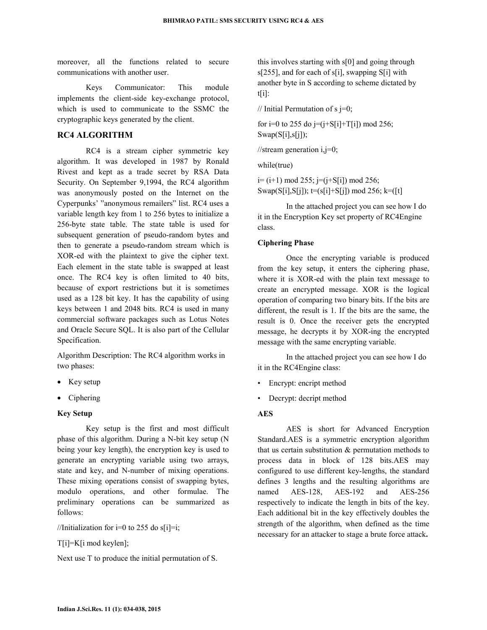moreover, all the functions related to secure communications with another user.

 Keys Communicator: This module implements the client-side key-exchange protocol, which is used to communicate to the SSMC the cryptographic keys generated by the client.

### **RC4 ALGORITHM**

 RC4 is a stream cipher symmetric key algorithm. It was developed in 1987 by Ronald Rivest and kept as a trade secret by RSA Data Security. On September 9,1994, the RC4 algorithm was anonymously posted on the Internet on the Cyperpunks' "anonymous remailers" list. RC4 uses a variable length key from 1 to 256 bytes to initialize a 256-byte state table. The state table is used for subsequent generation of pseudo-random bytes and then to generate a pseudo-random stream which is XOR-ed with the plaintext to give the cipher text. Each element in the state table is swapped at least once. The RC4 key is often limited to 40 bits, because of export restrictions but it is sometimes used as a 128 bit key. It has the capability of using keys between 1 and 2048 bits. RC4 is used in many commercial software packages such as Lotus Notes and Oracle Secure SQL. It is also part of the Cellular Specification.

Algorithm Description: The RC4 algorithm works in two phases:

- Key setup
- Ciphering

#### **Key Setup**

Key setup is the first and most difficult phase of this algorithm. During a N-bit key setup (N being your key length), the encryption key is used to generate an encrypting variable using two arrays, state and key, and N-number of mixing operations. These mixing operations consist of swapping bytes, modulo operations, and other formulae. The preliminary operations can be summarized as follows:

//Initialization for  $i=0$  to 255 do s[ $i$ ]=i;

T[i]=K[i mod keylen];

Next use T to produce the initial permutation of S.

this involves starting with s[0] and going through s[255], and for each of s[i], swapping S[i] with another byte in S according to scheme dictated by t[i]:

// Initial Permutation of  $s$  j=0;

for  $i=0$  to 255 do  $i=(i+SI[i]+T[i]) \mod 256$ ; Swap(S[i],s[j]);

//stream generation  $i$ ,  $j=0$ ;

while(true)

 $i=(i+1) \mod 255$ ;  $i=(i+S[i]) \mod 256$ ; Swap(S[i],S[j]); t=(s[i]+S[j]) mod 256; k=([t]

 In the attached project you can see how I do it in the Encryption Key set property of RC4Engine class.

### **Ciphering Phase**

 Once the encrypting variable is produced from the key setup, it enters the ciphering phase, where it is XOR-ed with the plain text message to create an encrypted message. XOR is the logical operation of comparing two binary bits. If the bits are different, the result is 1. If the bits are the same, the result is 0. Once the receiver gets the encrypted message, he decrypts it by XOR-ing the encrypted message with the same encrypting variable.

 In the attached project you can see how I do it in the RC4Engine class:

- Encrypt: encript method
- Decrypt: decript method

### **AES**

AES is short for Advanced Encryption Standard.AES is a symmetric encryption algorithm that us certain substitution & permutation methods to process data in block of 128 bits.AES may configured to use different key-lengths, the standard defines 3 lengths and the resulting algorithms are named AES-128, AES-192 and AES-256 respectively to indicate the length in bits of the key. Each additional bit in the key effectively doubles the strength of the algorithm, when defined as the time necessary for an attacker to stage a brute force attack**.**